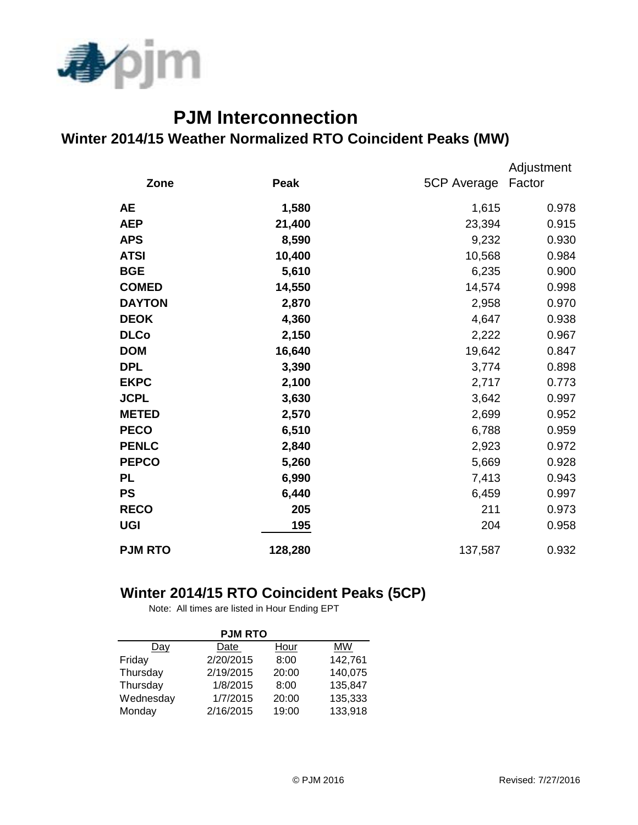

## **PJM Interconnection Winter 2014/15 Weather Normalized RTO Coincident Peaks (MW)**

|                |         |             | Adjustment |
|----------------|---------|-------------|------------|
| Zone           | Peak    | 5CP Average | Factor     |
| <b>AE</b>      | 1,580   | 1,615       | 0.978      |
| <b>AEP</b>     | 21,400  | 23,394      | 0.915      |
| <b>APS</b>     | 8,590   | 9,232       | 0.930      |
| <b>ATSI</b>    | 10,400  | 10,568      | 0.984      |
| <b>BGE</b>     | 5,610   | 6,235       | 0.900      |
| <b>COMED</b>   | 14,550  | 14,574      | 0.998      |
| <b>DAYTON</b>  | 2,870   | 2,958       | 0.970      |
| <b>DEOK</b>    | 4,360   | 4,647       | 0.938      |
| <b>DLCo</b>    | 2,150   | 2,222       | 0.967      |
| <b>DOM</b>     | 16,640  | 19,642      | 0.847      |
| <b>DPL</b>     | 3,390   | 3,774       | 0.898      |
| <b>EKPC</b>    | 2,100   | 2,717       | 0.773      |
| <b>JCPL</b>    | 3,630   | 3,642       | 0.997      |
| <b>METED</b>   | 2,570   | 2,699       | 0.952      |
| <b>PECO</b>    | 6,510   | 6,788       | 0.959      |
| <b>PENLC</b>   | 2,840   | 2,923       | 0.972      |
| <b>PEPCO</b>   | 5,260   | 5,669       | 0.928      |
| <b>PL</b>      | 6,990   | 7,413       | 0.943      |
| <b>PS</b>      | 6,440   | 6,459       | 0.997      |
| <b>RECO</b>    | 205     | 211         | 0.973      |
| <b>UGI</b>     | 195     | 204         | 0.958      |
| <b>PJM RTO</b> | 128,280 | 137,587     | 0.932      |

## **Winter 2014/15 RTO Coincident Peaks (5CP)**

Note: All times are listed in Hour Ending EPT

| <b>PJM RTO</b> |           |       |         |  |  |  |  |
|----------------|-----------|-------|---------|--|--|--|--|
| Dav            | Date      | Hour  | MW      |  |  |  |  |
| Friday         | 2/20/2015 | 8:00  | 142,761 |  |  |  |  |
| Thursday       | 2/19/2015 | 20:00 | 140,075 |  |  |  |  |
| Thursday       | 1/8/2015  | 8:00  | 135,847 |  |  |  |  |
| Wednesday      | 1/7/2015  | 20:00 | 135,333 |  |  |  |  |
| Monday         | 2/16/2015 | 19:00 | 133,918 |  |  |  |  |